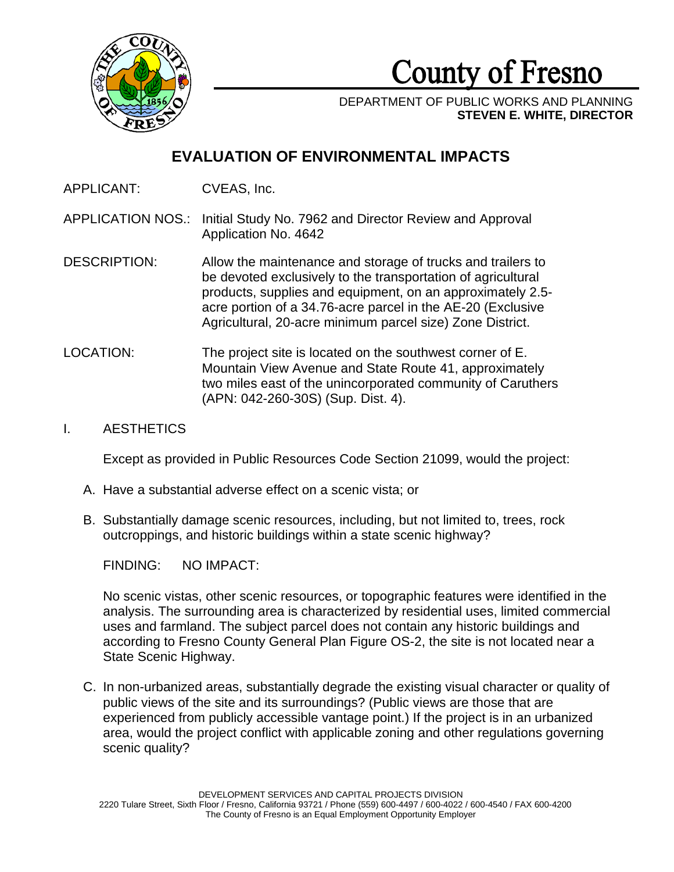

**County of Fresno** 

DEPARTMENT OF PUBLIC WORKS AND PLANNING **STEVEN E. WHITE, DIRECTOR**

# **EVALUATION OF ENVIRONMENTAL IMPACTS**

APPLICANT: CVEAS, Inc.

APPLICATION NOS.: Initial Study No. 7962 and Director Review and Approval Application No. 4642

- DESCRIPTION: Allow the maintenance and storage of trucks and trailers to be devoted exclusively to the transportation of agricultural products, supplies and equipment, on an approximately 2.5 acre portion of a 34.76-acre parcel in the AE-20 (Exclusive Agricultural, 20-acre minimum parcel size) Zone District.
- LOCATION: The project site is located on the southwest corner of E. Mountain View Avenue and State Route 41, approximately two miles east of the unincorporated community of Caruthers (APN: 042-260-30S) (Sup. Dist. 4).

# I. AESTHETICS

Except as provided in Public Resources Code Section 21099, would the project:

- A. Have a substantial adverse effect on a scenic vista; or
- B. Substantially damage scenic resources, including, but not limited to, trees, rock outcroppings, and historic buildings within a state scenic highway?

FINDING: NO IMPACT:

No scenic vistas, other scenic resources, or topographic features were identified in the analysis. The surrounding area is characterized by residential uses, limited commercial uses and farmland. The subject parcel does not contain any historic buildings and according to Fresno County General Plan Figure OS-2, the site is not located near a State Scenic Highway.

C. In non-urbanized areas, substantially degrade the existing visual character or quality of public views of the site and its surroundings? (Public views are those that are experienced from publicly accessible vantage point.) If the project is in an urbanized area, would the project conflict with applicable zoning and other regulations governing scenic quality?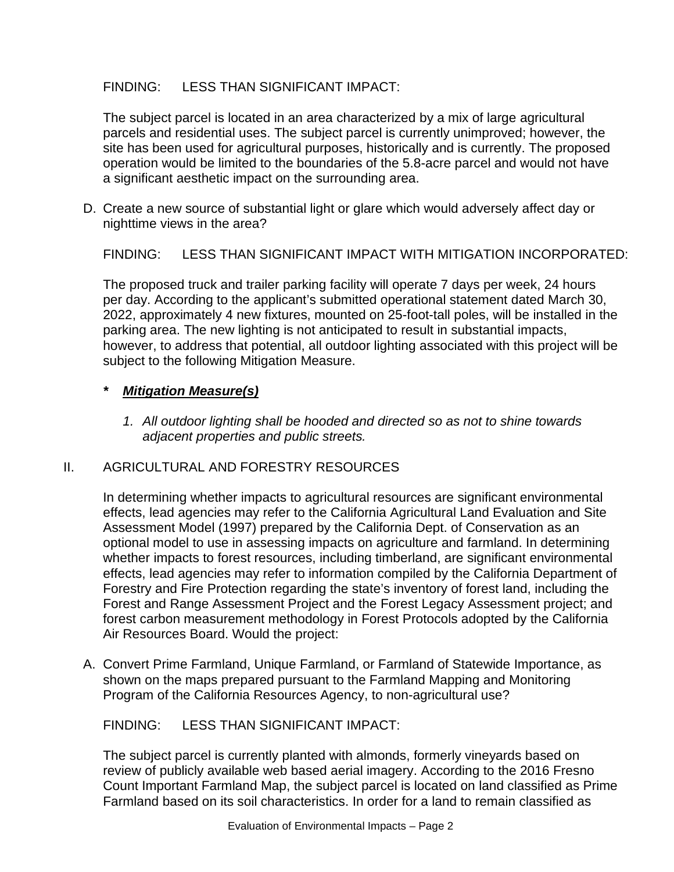# FINDING: LESS THAN SIGNIFICANT IMPACT:

The subject parcel is located in an area characterized by a mix of large agricultural parcels and residential uses. The subject parcel is currently unimproved; however, the site has been used for agricultural purposes, historically and is currently. The proposed operation would be limited to the boundaries of the 5.8-acre parcel and would not have a significant aesthetic impact on the surrounding area.

D. Create a new source of substantial light or glare which would adversely affect day or nighttime views in the area?

FINDING: LESS THAN SIGNIFICANT IMPACT WITH MITIGATION INCORPORATED:

The proposed truck and trailer parking facility will operate 7 days per week, 24 hours per day. According to the applicant's submitted operational statement dated March 30, 2022, approximately 4 new fixtures, mounted on 25-foot-tall poles, will be installed in the parking area. The new lighting is not anticipated to result in substantial impacts, however, to address that potential, all outdoor lighting associated with this project will be subject to the following Mitigation Measure.

## *\* Mitigation Measure(s)*

*1. All outdoor lighting shall be hooded and directed so as not to shine towards adjacent properties and public streets.*

# II. AGRICULTURAL AND FORESTRY RESOURCES

In determining whether impacts to agricultural resources are significant environmental effects, lead agencies may refer to the California Agricultural Land Evaluation and Site Assessment Model (1997) prepared by the California Dept. of Conservation as an optional model to use in assessing impacts on agriculture and farmland. In determining whether impacts to forest resources, including timberland, are significant environmental effects, lead agencies may refer to information compiled by the California Department of Forestry and Fire Protection regarding the state's inventory of forest land, including the Forest and Range Assessment Project and the Forest Legacy Assessment project; and forest carbon measurement methodology in Forest Protocols adopted by the California Air Resources Board. Would the project:

A. Convert Prime Farmland, Unique Farmland, or Farmland of Statewide Importance, as shown on the maps prepared pursuant to the Farmland Mapping and Monitoring Program of the California Resources Agency, to non-agricultural use?

# FINDING: LESS THAN SIGNIFICANT IMPACT:

The subject parcel is currently planted with almonds, formerly vineyards based on review of publicly available web based aerial imagery. According to the 2016 Fresno Count Important Farmland Map, the subject parcel is located on land classified as Prime Farmland based on its soil characteristics. In order for a land to remain classified as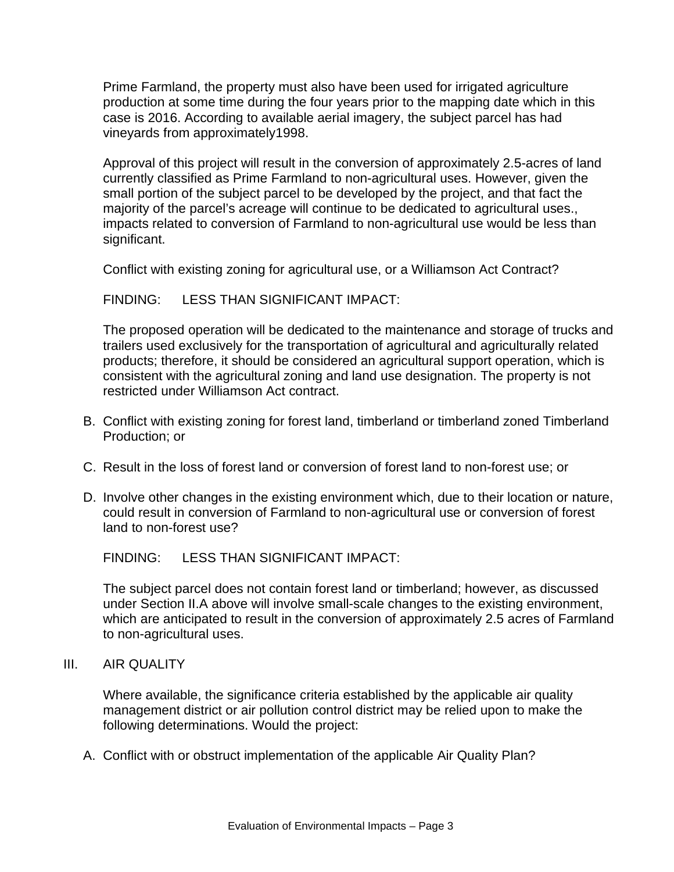Prime Farmland, the property must also have been used for irrigated agriculture production at some time during the four years prior to the mapping date which in this case is 2016. According to available aerial imagery, the subject parcel has had vineyards from approximately1998.

Approval of this project will result in the conversion of approximately 2.5-acres of land currently classified as Prime Farmland to non-agricultural uses. However, given the small portion of the subject parcel to be developed by the project, and that fact the majority of the parcel's acreage will continue to be dedicated to agricultural uses., impacts related to conversion of Farmland to non-agricultural use would be less than significant.

Conflict with existing zoning for agricultural use, or a Williamson Act Contract?

FINDING: LESS THAN SIGNIFICANT IMPACT:

The proposed operation will be dedicated to the maintenance and storage of trucks and trailers used exclusively for the transportation of agricultural and agriculturally related products; therefore, it should be considered an agricultural support operation, which is consistent with the agricultural zoning and land use designation. The property is not restricted under Williamson Act contract.

- B. Conflict with existing zoning for forest land, timberland or timberland zoned Timberland Production; or
- C. Result in the loss of forest land or conversion of forest land to non-forest use; or
- D. Involve other changes in the existing environment which, due to their location or nature, could result in conversion of Farmland to non-agricultural use or conversion of forest land to non-forest use?

FINDING: LESS THAN SIGNIFICANT IMPACT:

The subject parcel does not contain forest land or timberland; however, as discussed under Section II.A above will involve small-scale changes to the existing environment, which are anticipated to result in the conversion of approximately 2.5 acres of Farmland to non-agricultural uses.

III. AIR QUALITY

Where available, the significance criteria established by the applicable air quality management district or air pollution control district may be relied upon to make the following determinations. Would the project:

A. Conflict with or obstruct implementation of the applicable Air Quality Plan?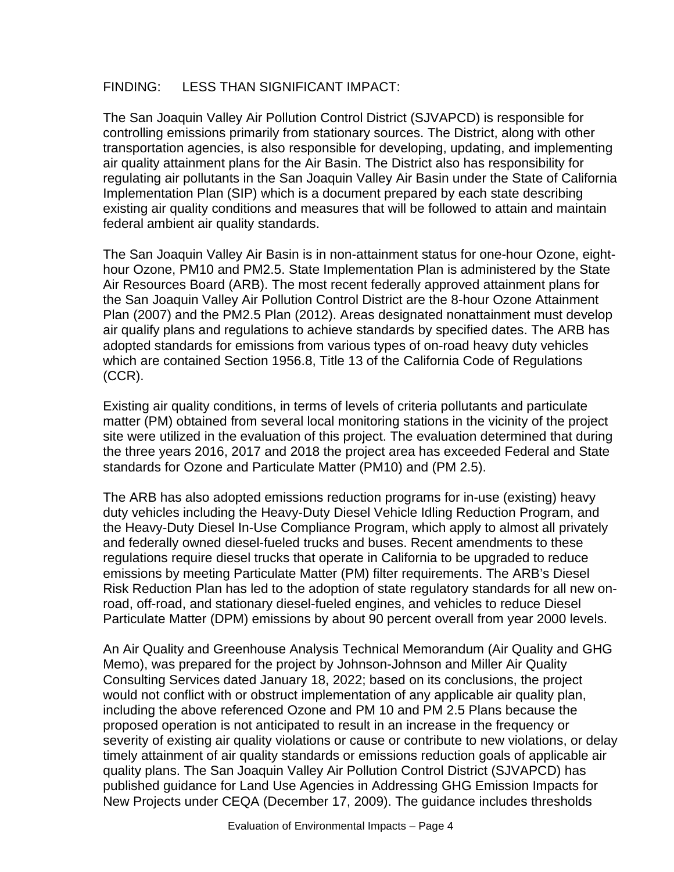# FINDING: LESS THAN SIGNIFICANT IMPACT:

The San Joaquin Valley Air Pollution Control District (SJVAPCD) is responsible for controlling emissions primarily from stationary sources. The District, along with other transportation agencies, is also responsible for developing, updating, and implementing air quality attainment plans for the Air Basin. The District also has responsibility for regulating air pollutants in the San Joaquin Valley Air Basin under the State of California Implementation Plan (SIP) which is a document prepared by each state describing existing air quality conditions and measures that will be followed to attain and maintain federal ambient air quality standards.

The San Joaquin Valley Air Basin is in non-attainment status for one-hour Ozone, eighthour Ozone, PM10 and PM2.5. State Implementation Plan is administered by the State Air Resources Board (ARB). The most recent federally approved attainment plans for the San Joaquin Valley Air Pollution Control District are the 8-hour Ozone Attainment Plan (2007) and the PM2.5 Plan (2012). Areas designated nonattainment must develop air qualify plans and regulations to achieve standards by specified dates. The ARB has adopted standards for emissions from various types of on-road heavy duty vehicles which are contained Section 1956.8, Title 13 of the California Code of Regulations (CCR).

Existing air quality conditions, in terms of levels of criteria pollutants and particulate matter (PM) obtained from several local monitoring stations in the vicinity of the project site were utilized in the evaluation of this project. The evaluation determined that during the three years 2016, 2017 and 2018 the project area has exceeded Federal and State standards for Ozone and Particulate Matter (PM10) and (PM 2.5).

The ARB has also adopted emissions reduction programs for in-use (existing) heavy duty vehicles including the Heavy-Duty Diesel Vehicle Idling Reduction Program, and the Heavy-Duty Diesel In-Use Compliance Program, which apply to almost all privately and federally owned diesel-fueled trucks and buses. Recent amendments to these regulations require diesel trucks that operate in California to be upgraded to reduce emissions by meeting Particulate Matter (PM) filter requirements. The ARB's Diesel Risk Reduction Plan has led to the adoption of state regulatory standards for all new onroad, off-road, and stationary diesel-fueled engines, and vehicles to reduce Diesel Particulate Matter (DPM) emissions by about 90 percent overall from year 2000 levels.

An Air Quality and Greenhouse Analysis Technical Memorandum (Air Quality and GHG Memo), was prepared for the project by Johnson-Johnson and Miller Air Quality Consulting Services dated January 18, 2022; based on its conclusions, the project would not conflict with or obstruct implementation of any applicable air quality plan, including the above referenced Ozone and PM 10 and PM 2.5 Plans because the proposed operation is not anticipated to result in an increase in the frequency or severity of existing air quality violations or cause or contribute to new violations, or delay timely attainment of air quality standards or emissions reduction goals of applicable air quality plans. The San Joaquin Valley Air Pollution Control District (SJVAPCD) has published guidance for Land Use Agencies in Addressing GHG Emission Impacts for New Projects under CEQA (December 17, 2009). The guidance includes thresholds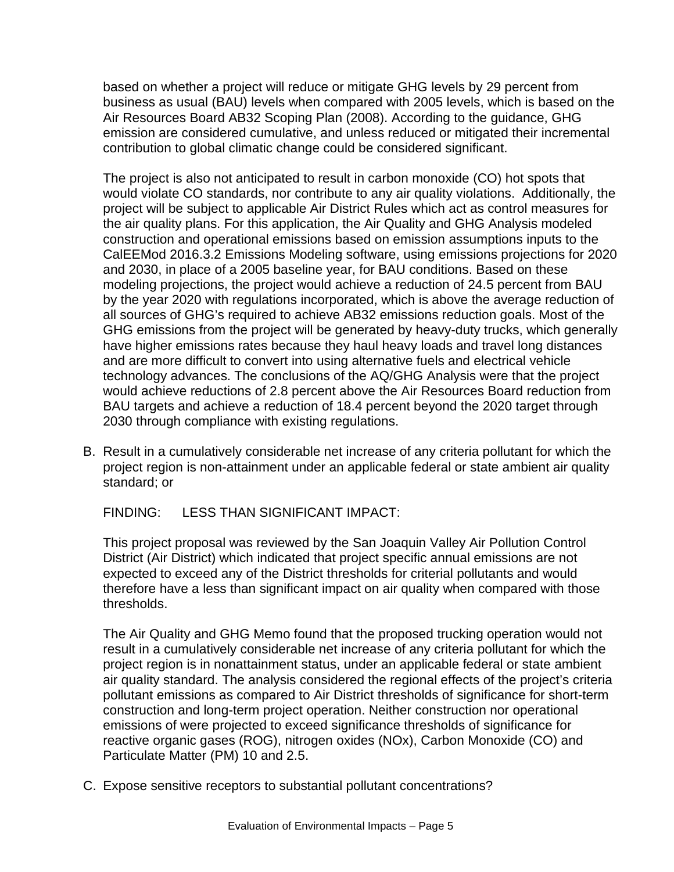based on whether a project will reduce or mitigate GHG levels by 29 percent from business as usual (BAU) levels when compared with 2005 levels, which is based on the Air Resources Board AB32 Scoping Plan (2008). According to the guidance, GHG emission are considered cumulative, and unless reduced or mitigated their incremental contribution to global climatic change could be considered significant.

The project is also not anticipated to result in carbon monoxide (CO) hot spots that would violate CO standards, nor contribute to any air quality violations. Additionally, the project will be subject to applicable Air District Rules which act as control measures for the air quality plans. For this application, the Air Quality and GHG Analysis modeled construction and operational emissions based on emission assumptions inputs to the CalEEMod 2016.3.2 Emissions Modeling software, using emissions projections for 2020 and 2030, in place of a 2005 baseline year, for BAU conditions. Based on these modeling projections, the project would achieve a reduction of 24.5 percent from BAU by the year 2020 with regulations incorporated, which is above the average reduction of all sources of GHG's required to achieve AB32 emissions reduction goals. Most of the GHG emissions from the project will be generated by heavy-duty trucks, which generally have higher emissions rates because they haul heavy loads and travel long distances and are more difficult to convert into using alternative fuels and electrical vehicle technology advances. The conclusions of the AQ/GHG Analysis were that the project would achieve reductions of 2.8 percent above the Air Resources Board reduction from BAU targets and achieve a reduction of 18.4 percent beyond the 2020 target through 2030 through compliance with existing regulations.

B. Result in a cumulatively considerable net increase of any criteria pollutant for which the project region is non-attainment under an applicable federal or state ambient air quality standard; or

FINDING: LESS THAN SIGNIFICANT IMPACT:

This project proposal was reviewed by the San Joaquin Valley Air Pollution Control District (Air District) which indicated that project specific annual emissions are not expected to exceed any of the District thresholds for criterial pollutants and would therefore have a less than significant impact on air quality when compared with those thresholds.

The Air Quality and GHG Memo found that the proposed trucking operation would not result in a cumulatively considerable net increase of any criteria pollutant for which the project region is in nonattainment status, under an applicable federal or state ambient air quality standard. The analysis considered the regional effects of the project's criteria pollutant emissions as compared to Air District thresholds of significance for short-term construction and long-term project operation. Neither construction nor operational emissions of were projected to exceed significance thresholds of significance for reactive organic gases (ROG), nitrogen oxides (NOx), Carbon Monoxide (CO) and Particulate Matter (PM) 10 and 2.5.

C. Expose sensitive receptors to substantial pollutant concentrations?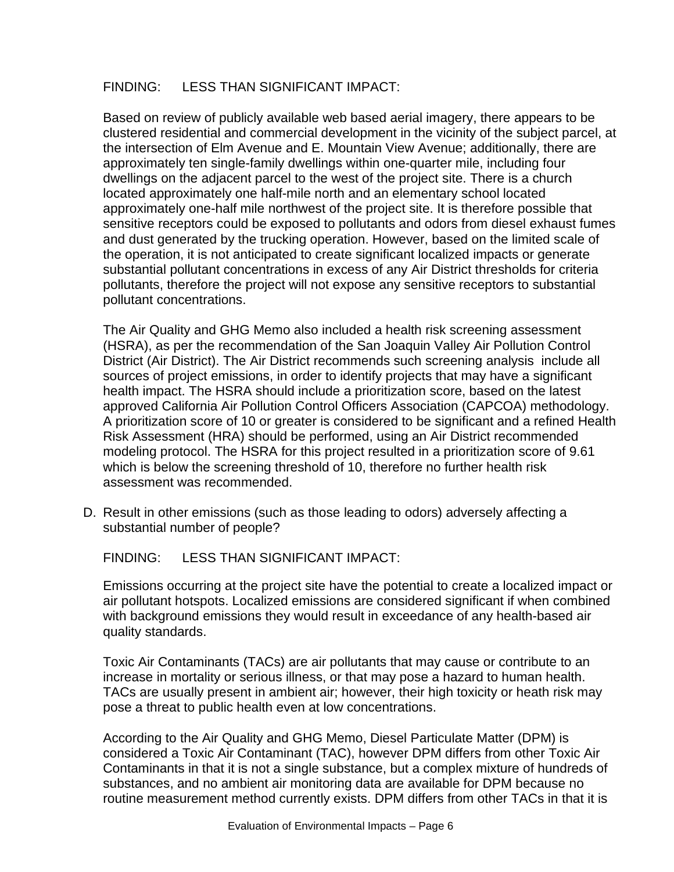## FINDING: LESS THAN SIGNIFICANT IMPACT:

Based on review of publicly available web based aerial imagery, there appears to be clustered residential and commercial development in the vicinity of the subject parcel, at the intersection of Elm Avenue and E. Mountain View Avenue; additionally, there are approximately ten single-family dwellings within one-quarter mile, including four dwellings on the adjacent parcel to the west of the project site. There is a church located approximately one half-mile north and an elementary school located approximately one-half mile northwest of the project site. It is therefore possible that sensitive receptors could be exposed to pollutants and odors from diesel exhaust fumes and dust generated by the trucking operation. However, based on the limited scale of the operation, it is not anticipated to create significant localized impacts or generate substantial pollutant concentrations in excess of any Air District thresholds for criteria pollutants, therefore the project will not expose any sensitive receptors to substantial pollutant concentrations.

The Air Quality and GHG Memo also included a health risk screening assessment (HSRA), as per the recommendation of the San Joaquin Valley Air Pollution Control District (Air District). The Air District recommends such screening analysis include all sources of project emissions, in order to identify projects that may have a significant health impact. The HSRA should include a prioritization score, based on the latest approved California Air Pollution Control Officers Association (CAPCOA) methodology. A prioritization score of 10 or greater is considered to be significant and a refined Health Risk Assessment (HRA) should be performed, using an Air District recommended modeling protocol. The HSRA for this project resulted in a prioritization score of 9.61 which is below the screening threshold of 10, therefore no further health risk assessment was recommended.

D. Result in other emissions (such as those leading to odors) adversely affecting a substantial number of people?

FINDING: LESS THAN SIGNIFICANT IMPACT:

Emissions occurring at the project site have the potential to create a localized impact or air pollutant hotspots. Localized emissions are considered significant if when combined with background emissions they would result in exceedance of any health-based air quality standards.

Toxic Air Contaminants (TACs) are air pollutants that may cause or contribute to an increase in mortality or serious illness, or that may pose a hazard to human health. TACs are usually present in ambient air; however, their high toxicity or heath risk may pose a threat to public health even at low concentrations.

According to the Air Quality and GHG Memo, Diesel Particulate Matter (DPM) is considered a Toxic Air Contaminant (TAC), however DPM differs from other Toxic Air Contaminants in that it is not a single substance, but a complex mixture of hundreds of substances, and no ambient air monitoring data are available for DPM because no routine measurement method currently exists. DPM differs from other TACs in that it is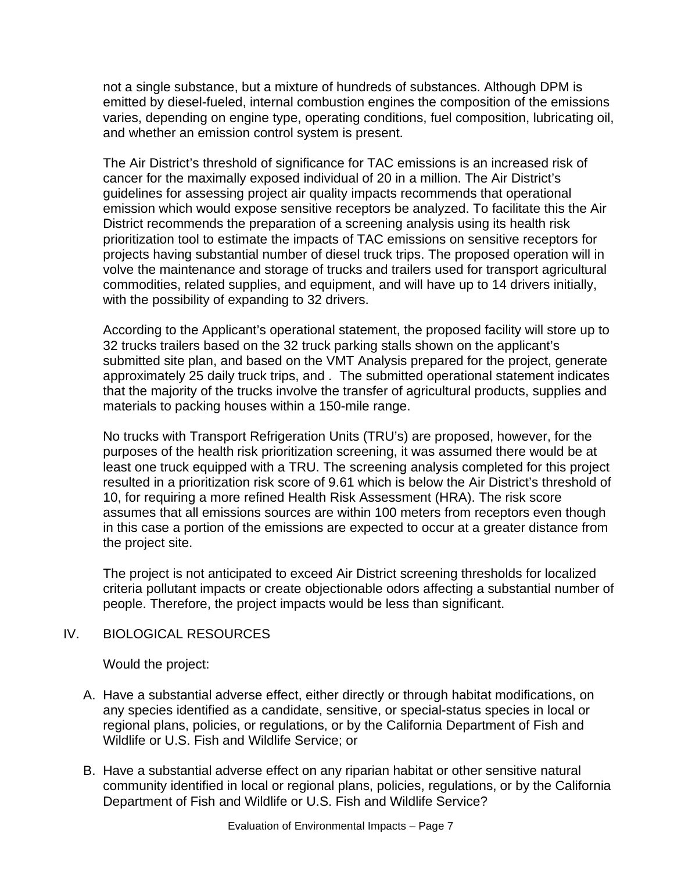not a single substance, but a mixture of hundreds of substances. Although DPM is emitted by diesel-fueled, internal combustion engines the composition of the emissions varies, depending on engine type, operating conditions, fuel composition, lubricating oil, and whether an emission control system is present.

The Air District's threshold of significance for TAC emissions is an increased risk of cancer for the maximally exposed individual of 20 in a million. The Air District's guidelines for assessing project air quality impacts recommends that operational emission which would expose sensitive receptors be analyzed. To facilitate this the Air District recommends the preparation of a screening analysis using its health risk prioritization tool to estimate the impacts of TAC emissions on sensitive receptors for projects having substantial number of diesel truck trips. The proposed operation will in volve the maintenance and storage of trucks and trailers used for transport agricultural commodities, related supplies, and equipment, and will have up to 14 drivers initially, with the possibility of expanding to 32 drivers.

According to the Applicant's operational statement, the proposed facility will store up to 32 trucks trailers based on the 32 truck parking stalls shown on the applicant's submitted site plan, and based on the VMT Analysis prepared for the project, generate approximately 25 daily truck trips, and . The submitted operational statement indicates that the majority of the trucks involve the transfer of agricultural products, supplies and materials to packing houses within a 150-mile range.

No trucks with Transport Refrigeration Units (TRU's) are proposed, however, for the purposes of the health risk prioritization screening, it was assumed there would be at least one truck equipped with a TRU. The screening analysis completed for this project resulted in a prioritization risk score of 9.61 which is below the Air District's threshold of 10, for requiring a more refined Health Risk Assessment (HRA). The risk score assumes that all emissions sources are within 100 meters from receptors even though in this case a portion of the emissions are expected to occur at a greater distance from the project site.

The project is not anticipated to exceed Air District screening thresholds for localized criteria pollutant impacts or create objectionable odors affecting a substantial number of people. Therefore, the project impacts would be less than significant.

# IV. BIOLOGICAL RESOURCES

Would the project:

- A. Have a substantial adverse effect, either directly or through habitat modifications, on any species identified as a candidate, sensitive, or special-status species in local or regional plans, policies, or regulations, or by the California Department of Fish and Wildlife or U.S. Fish and Wildlife Service; or
- B. Have a substantial adverse effect on any riparian habitat or other sensitive natural community identified in local or regional plans, policies, regulations, or by the California Department of Fish and Wildlife or U.S. Fish and Wildlife Service?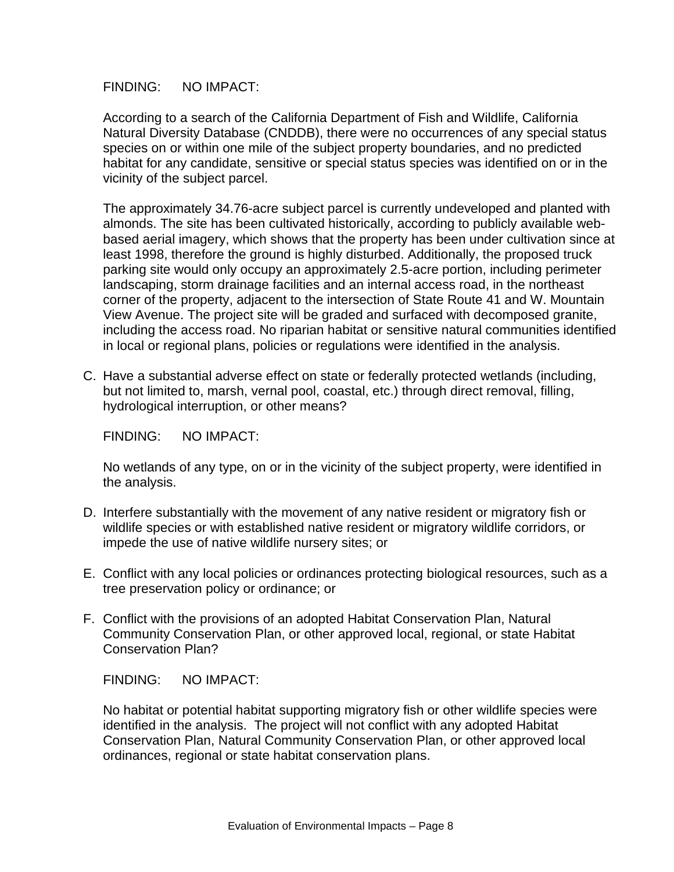According to a search of the California Department of Fish and Wildlife, California Natural Diversity Database (CNDDB), there were no occurrences of any special status species on or within one mile of the subject property boundaries, and no predicted habitat for any candidate, sensitive or special status species was identified on or in the vicinity of the subject parcel.

The approximately 34.76-acre subject parcel is currently undeveloped and planted with almonds. The site has been cultivated historically, according to publicly available webbased aerial imagery, which shows that the property has been under cultivation since at least 1998, therefore the ground is highly disturbed. Additionally, the proposed truck parking site would only occupy an approximately 2.5-acre portion, including perimeter landscaping, storm drainage facilities and an internal access road, in the northeast corner of the property, adjacent to the intersection of State Route 41 and W. Mountain View Avenue. The project site will be graded and surfaced with decomposed granite, including the access road. No riparian habitat or sensitive natural communities identified in local or regional plans, policies or regulations were identified in the analysis.

C. Have a substantial adverse effect on state or federally protected wetlands (including, but not limited to, marsh, vernal pool, coastal, etc.) through direct removal, filling, hydrological interruption, or other means?

FINDING: NO IMPACT:

No wetlands of any type, on or in the vicinity of the subject property, were identified in the analysis.

- D. Interfere substantially with the movement of any native resident or migratory fish or wildlife species or with established native resident or migratory wildlife corridors, or impede the use of native wildlife nursery sites; or
- E. Conflict with any local policies or ordinances protecting biological resources, such as a tree preservation policy or ordinance; or
- F. Conflict with the provisions of an adopted Habitat Conservation Plan, Natural Community Conservation Plan, or other approved local, regional, or state Habitat Conservation Plan?

FINDING: NO IMPACT:

No habitat or potential habitat supporting migratory fish or other wildlife species were identified in the analysis. The project will not conflict with any adopted Habitat Conservation Plan, Natural Community Conservation Plan, or other approved local ordinances, regional or state habitat conservation plans.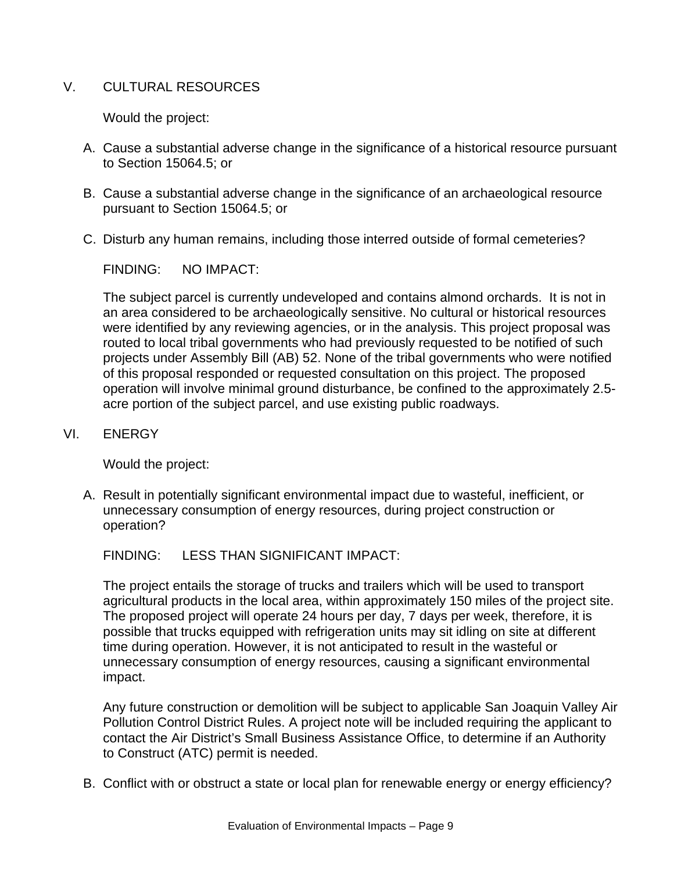## V. CULTURAL RESOURCES

Would the project:

- A. Cause a substantial adverse change in the significance of a historical resource pursuant to Section 15064.5; or
- B. Cause a substantial adverse change in the significance of an archaeological resource pursuant to Section 15064.5; or
- C. Disturb any human remains, including those interred outside of formal cemeteries?

FINDING: NO IMPACT:

The subject parcel is currently undeveloped and contains almond orchards. It is not in an area considered to be archaeologically sensitive. No cultural or historical resources were identified by any reviewing agencies, or in the analysis. This project proposal was routed to local tribal governments who had previously requested to be notified of such projects under Assembly Bill (AB) 52. None of the tribal governments who were notified of this proposal responded or requested consultation on this project. The proposed operation will involve minimal ground disturbance, be confined to the approximately 2.5 acre portion of the subject parcel, and use existing public roadways.

VI. ENERGY

Would the project:

A. Result in potentially significant environmental impact due to wasteful, inefficient, or unnecessary consumption of energy resources, during project construction or operation?

FINDING: LESS THAN SIGNIFICANT IMPACT:

The project entails the storage of trucks and trailers which will be used to transport agricultural products in the local area, within approximately 150 miles of the project site. The proposed project will operate 24 hours per day, 7 days per week, therefore, it is possible that trucks equipped with refrigeration units may sit idling on site at different time during operation. However, it is not anticipated to result in the wasteful or unnecessary consumption of energy resources, causing a significant environmental impact.

Any future construction or demolition will be subject to applicable San Joaquin Valley Air Pollution Control District Rules. A project note will be included requiring the applicant to contact the Air District's Small Business Assistance Office, to determine if an Authority to Construct (ATC) permit is needed.

B. Conflict with or obstruct a state or local plan for renewable energy or energy efficiency?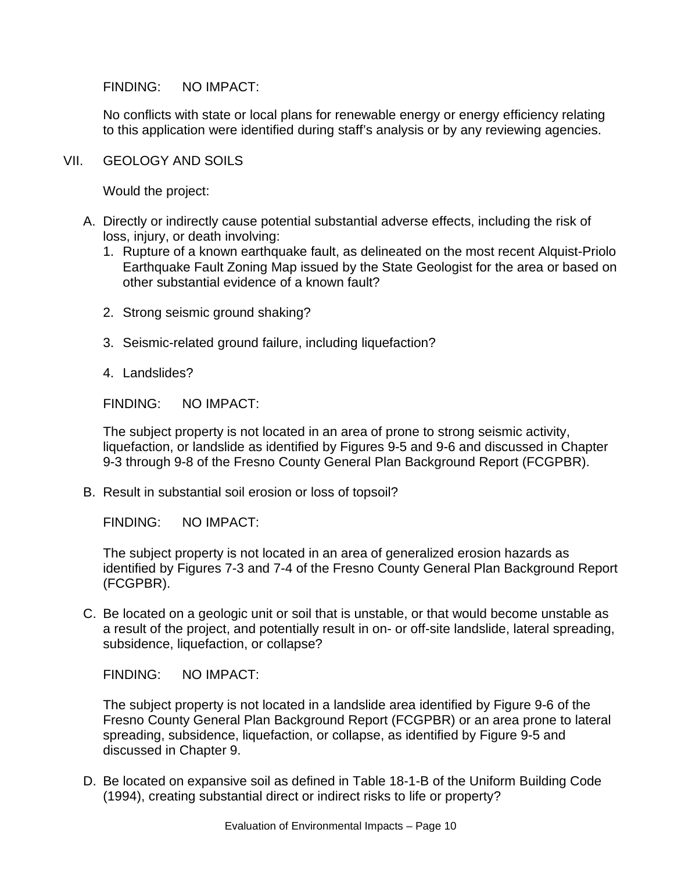No conflicts with state or local plans for renewable energy or energy efficiency relating to this application were identified during staff's analysis or by any reviewing agencies.

VII. GEOLOGY AND SOILS

Would the project:

- A. Directly or indirectly cause potential substantial adverse effects, including the risk of loss, injury, or death involving:
	- 1. Rupture of a known earthquake fault, as delineated on the most recent Alquist-Priolo Earthquake Fault Zoning Map issued by the State Geologist for the area or based on other substantial evidence of a known fault?
	- 2. Strong seismic ground shaking?
	- 3. Seismic-related ground failure, including liquefaction?
	- 4. Landslides?

FINDING: NO IMPACT:

The subject property is not located in an area of prone to strong seismic activity, liquefaction, or landslide as identified by Figures 9-5 and 9-6 and discussed in Chapter 9-3 through 9-8 of the Fresno County General Plan Background Report (FCGPBR).

B. Result in substantial soil erosion or loss of topsoil?

FINDING: NO IMPACT:

The subject property is not located in an area of generalized erosion hazards as identified by Figures 7-3 and 7-4 of the Fresno County General Plan Background Report (FCGPBR).

C. Be located on a geologic unit or soil that is unstable, or that would become unstable as a result of the project, and potentially result in on- or off-site landslide, lateral spreading, subsidence, liquefaction, or collapse?

FINDING: NO IMPACT:

The subject property is not located in a landslide area identified by Figure 9-6 of the Fresno County General Plan Background Report (FCGPBR) or an area prone to lateral spreading, subsidence, liquefaction, or collapse, as identified by Figure 9-5 and discussed in Chapter 9.

D. Be located on expansive soil as defined in Table 18-1-B of the Uniform Building Code (1994), creating substantial direct or indirect risks to life or property?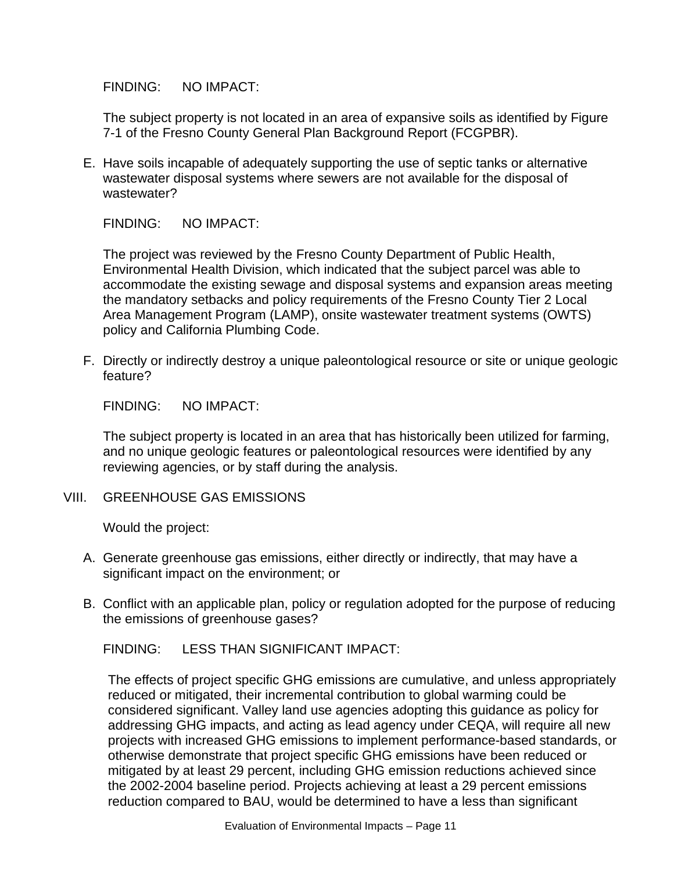The subject property is not located in an area of expansive soils as identified by Figure 7-1 of the Fresno County General Plan Background Report (FCGPBR).

E. Have soils incapable of adequately supporting the use of septic tanks or alternative wastewater disposal systems where sewers are not available for the disposal of wastewater?

FINDING: NO IMPACT:

The project was reviewed by the Fresno County Department of Public Health, Environmental Health Division, which indicated that the subject parcel was able to accommodate the existing sewage and disposal systems and expansion areas meeting the mandatory setbacks and policy requirements of the Fresno County Tier 2 Local Area Management Program (LAMP), onsite wastewater treatment systems (OWTS) policy and California Plumbing Code.

F. Directly or indirectly destroy a unique paleontological resource or site or unique geologic feature?

FINDING: NO IMPACT:

The subject property is located in an area that has historically been utilized for farming, and no unique geologic features or paleontological resources were identified by any reviewing agencies, or by staff during the analysis.

VIII. GREENHOUSE GAS EMISSIONS

Would the project:

- A. Generate greenhouse gas emissions, either directly or indirectly, that may have a significant impact on the environment; or
- B. Conflict with an applicable plan, policy or regulation adopted for the purpose of reducing the emissions of greenhouse gases?

FINDING: LESS THAN SIGNIFICANT IMPACT:

The effects of project specific GHG emissions are cumulative, and unless appropriately reduced or mitigated, their incremental contribution to global warming could be considered significant. Valley land use agencies adopting this guidance as policy for addressing GHG impacts, and acting as lead agency under CEQA, will require all new projects with increased GHG emissions to implement performance-based standards, or otherwise demonstrate that project specific GHG emissions have been reduced or mitigated by at least 29 percent, including GHG emission reductions achieved since the 2002-2004 baseline period. Projects achieving at least a 29 percent emissions reduction compared to BAU, would be determined to have a less than significant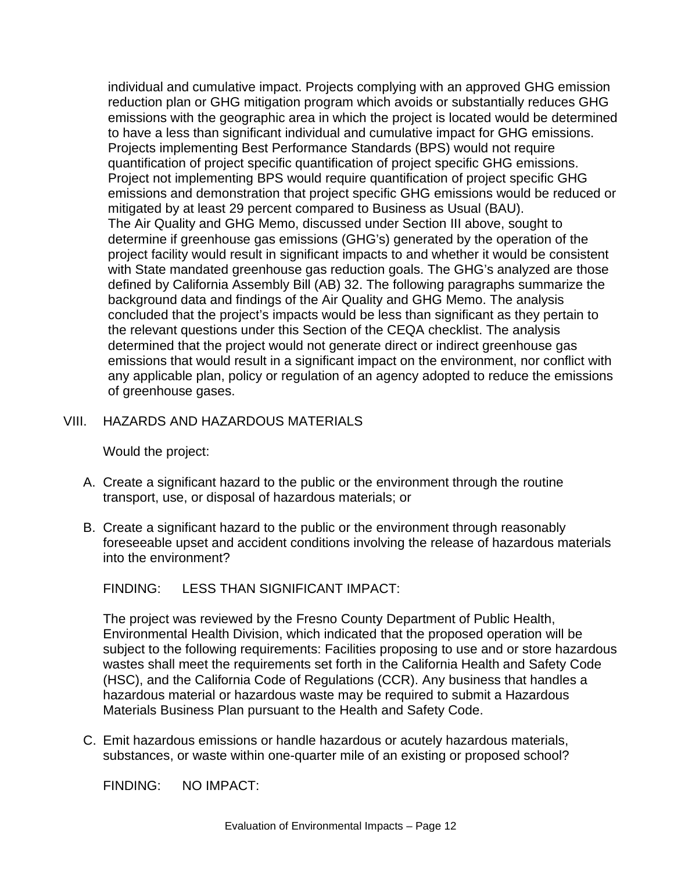individual and cumulative impact. Projects complying with an approved GHG emission reduction plan or GHG mitigation program which avoids or substantially reduces GHG emissions with the geographic area in which the project is located would be determined to have a less than significant individual and cumulative impact for GHG emissions. Projects implementing Best Performance Standards (BPS) would not require quantification of project specific quantification of project specific GHG emissions. Project not implementing BPS would require quantification of project specific GHG emissions and demonstration that project specific GHG emissions would be reduced or mitigated by at least 29 percent compared to Business as Usual (BAU). The Air Quality and GHG Memo, discussed under Section III above, sought to determine if greenhouse gas emissions (GHG's) generated by the operation of the project facility would result in significant impacts to and whether it would be consistent with State mandated greenhouse gas reduction goals. The GHG's analyzed are those defined by California Assembly Bill (AB) 32. The following paragraphs summarize the background data and findings of the Air Quality and GHG Memo. The analysis concluded that the project's impacts would be less than significant as they pertain to the relevant questions under this Section of the CEQA checklist. The analysis determined that the project would not generate direct or indirect greenhouse gas emissions that would result in a significant impact on the environment, nor conflict with any applicable plan, policy or regulation of an agency adopted to reduce the emissions of greenhouse gases.

#### VIII. HAZARDS AND HAZARDOUS MATERIALS

Would the project:

- A. Create a significant hazard to the public or the environment through the routine transport, use, or disposal of hazardous materials; or
- B. Create a significant hazard to the public or the environment through reasonably foreseeable upset and accident conditions involving the release of hazardous materials into the environment?

FINDING: LESS THAN SIGNIFICANT IMPACT:

The project was reviewed by the Fresno County Department of Public Health, Environmental Health Division, which indicated that the proposed operation will be subject to the following requirements: Facilities proposing to use and or store hazardous wastes shall meet the requirements set forth in the California Health and Safety Code (HSC), and the California Code of Regulations (CCR). Any business that handles a hazardous material or hazardous waste may be required to submit a Hazardous Materials Business Plan pursuant to the Health and Safety Code.

C. Emit hazardous emissions or handle hazardous or acutely hazardous materials, substances, or waste within one-quarter mile of an existing or proposed school?

FINDING: NO IMPACT: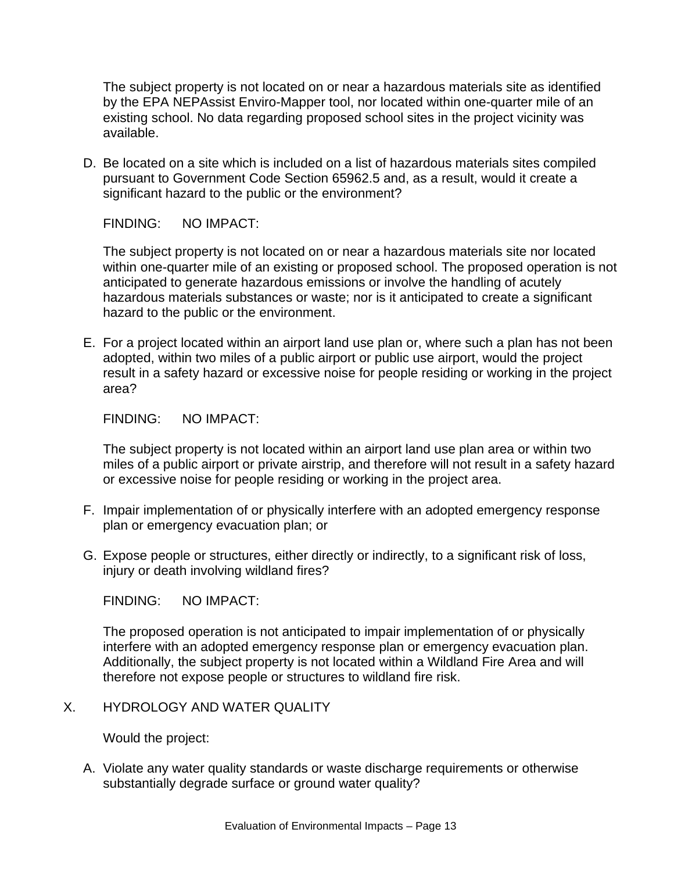The subject property is not located on or near a hazardous materials site as identified by the EPA NEPAssist Enviro-Mapper tool, nor located within one-quarter mile of an existing school. No data regarding proposed school sites in the project vicinity was available.

D. Be located on a site which is included on a list of hazardous materials sites compiled pursuant to Government Code Section 65962.5 and, as a result, would it create a significant hazard to the public or the environment?

FINDING: NO IMPACT:

The subject property is not located on or near a hazardous materials site nor located within one-quarter mile of an existing or proposed school. The proposed operation is not anticipated to generate hazardous emissions or involve the handling of acutely hazardous materials substances or waste; nor is it anticipated to create a significant hazard to the public or the environment.

E. For a project located within an airport land use plan or, where such a plan has not been adopted, within two miles of a public airport or public use airport, would the project result in a safety hazard or excessive noise for people residing or working in the project area?

FINDING: NO IMPACT:

The subject property is not located within an airport land use plan area or within two miles of a public airport or private airstrip, and therefore will not result in a safety hazard or excessive noise for people residing or working in the project area.

- F. Impair implementation of or physically interfere with an adopted emergency response plan or emergency evacuation plan; or
- G. Expose people or structures, either directly or indirectly, to a significant risk of loss, injury or death involving wildland fires?

FINDING: NO IMPACT:

The proposed operation is not anticipated to impair implementation of or physically interfere with an adopted emergency response plan or emergency evacuation plan. Additionally, the subject property is not located within a Wildland Fire Area and will therefore not expose people or structures to wildland fire risk.

X. HYDROLOGY AND WATER QUALITY

Would the project:

A. Violate any water quality standards or waste discharge requirements or otherwise substantially degrade surface or ground water quality?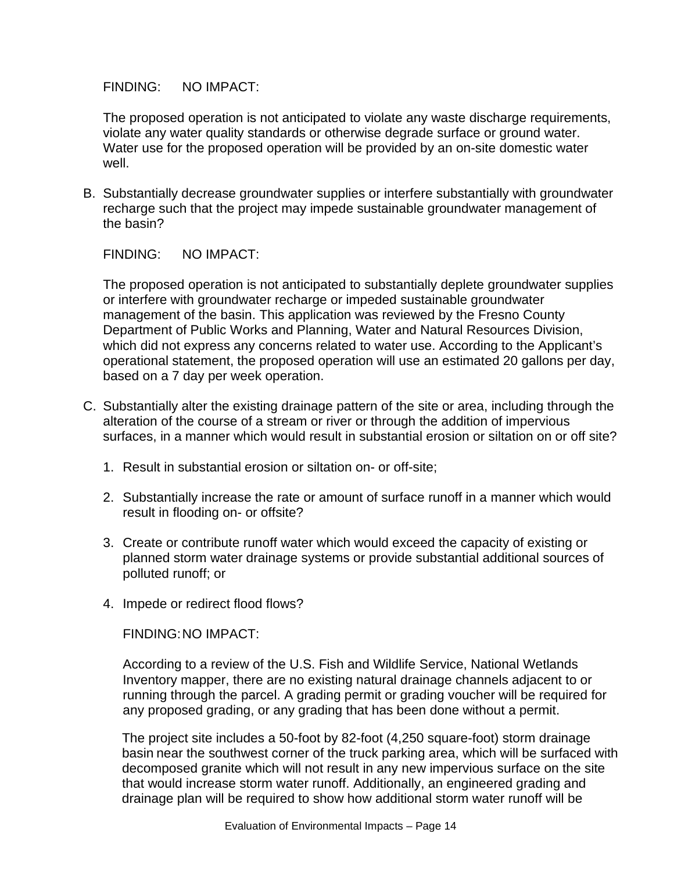The proposed operation is not anticipated to violate any waste discharge requirements, violate any water quality standards or otherwise degrade surface or ground water. Water use for the proposed operation will be provided by an on-site domestic water well.

B. Substantially decrease groundwater supplies or interfere substantially with groundwater recharge such that the project may impede sustainable groundwater management of the basin?

FINDING: NO IMPACT:

The proposed operation is not anticipated to substantially deplete groundwater supplies or interfere with groundwater recharge or impeded sustainable groundwater management of the basin. This application was reviewed by the Fresno County Department of Public Works and Planning, Water and Natural Resources Division, which did not express any concerns related to water use. According to the Applicant's operational statement, the proposed operation will use an estimated 20 gallons per day, based on a 7 day per week operation.

- C. Substantially alter the existing drainage pattern of the site or area, including through the alteration of the course of a stream or river or through the addition of impervious surfaces, in a manner which would result in substantial erosion or siltation on or off site?
	- 1. Result in substantial erosion or siltation on- or off-site;
	- 2. Substantially increase the rate or amount of surface runoff in a manner which would result in flooding on- or offsite?
	- 3. Create or contribute runoff water which would exceed the capacity of existing or planned storm water drainage systems or provide substantial additional sources of polluted runoff; or
	- 4. Impede or redirect flood flows?

FINDING:NO IMPACT:

According to a review of the U.S. Fish and Wildlife Service, National Wetlands Inventory mapper, there are no existing natural drainage channels adjacent to or running through the parcel. A grading permit or grading voucher will be required for any proposed grading, or any grading that has been done without a permit.

The project site includes a 50-foot by 82-foot (4,250 square-foot) storm drainage basin near the southwest corner of the truck parking area, which will be surfaced with decomposed granite which will not result in any new impervious surface on the site that would increase storm water runoff. Additionally, an engineered grading and drainage plan will be required to show how additional storm water runoff will be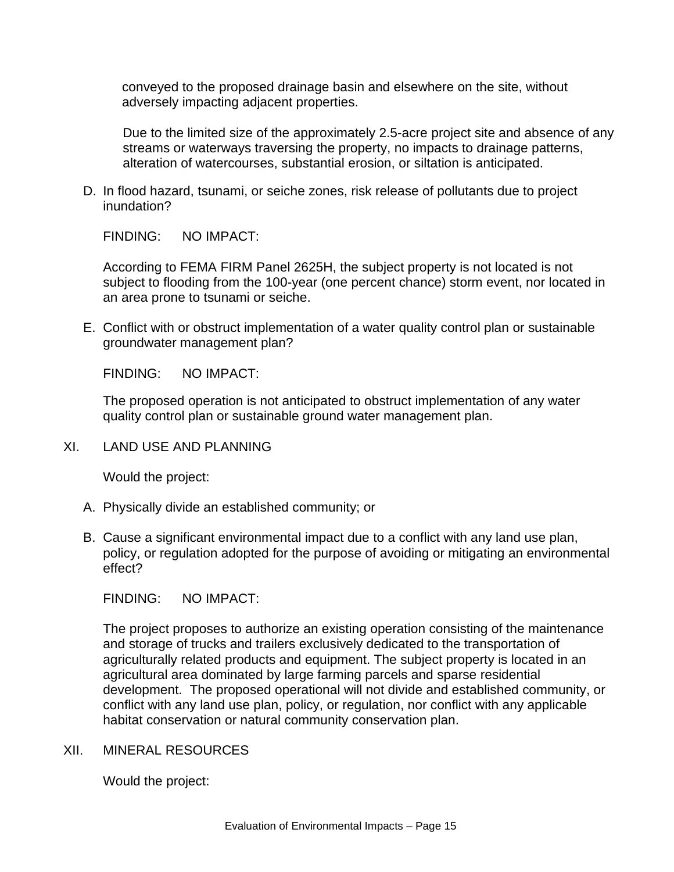conveyed to the proposed drainage basin and elsewhere on the site, without adversely impacting adjacent properties.

Due to the limited size of the approximately 2.5-acre project site and absence of any streams or waterways traversing the property, no impacts to drainage patterns, alteration of watercourses, substantial erosion, or siltation is anticipated.

D. In flood hazard, tsunami, or seiche zones, risk release of pollutants due to project inundation?

FINDING: NO IMPACT:

According to FEMA FIRM Panel 2625H, the subject property is not located is not subject to flooding from the 100-year (one percent chance) storm event, nor located in an area prone to tsunami or seiche.

E. Conflict with or obstruct implementation of a water quality control plan or sustainable groundwater management plan?

FINDING: NO IMPACT:

The proposed operation is not anticipated to obstruct implementation of any water quality control plan or sustainable ground water management plan.

XI. LAND USE AND PLANNING

Would the project:

- A. Physically divide an established community; or
- B. Cause a significant environmental impact due to a conflict with any land use plan, policy, or regulation adopted for the purpose of avoiding or mitigating an environmental effect?

FINDING: NO IMPACT:

The project proposes to authorize an existing operation consisting of the maintenance and storage of trucks and trailers exclusively dedicated to the transportation of agriculturally related products and equipment. The subject property is located in an agricultural area dominated by large farming parcels and sparse residential development. The proposed operational will not divide and established community, or conflict with any land use plan, policy, or regulation, nor conflict with any applicable habitat conservation or natural community conservation plan.

#### XII. MINERAL RESOURCES

Would the project: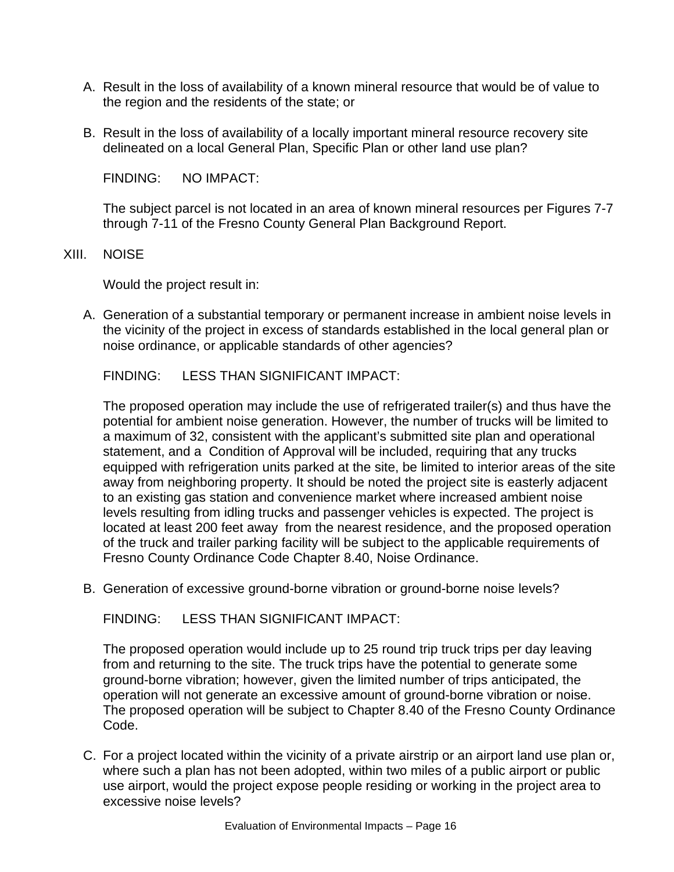- A. Result in the loss of availability of a known mineral resource that would be of value to the region and the residents of the state; or
- B. Result in the loss of availability of a locally important mineral resource recovery site delineated on a local General Plan, Specific Plan or other land use plan?

The subject parcel is not located in an area of known mineral resources per Figures 7-7 through 7-11 of the Fresno County General Plan Background Report.

XIII. NOISE

Would the project result in:

A. Generation of a substantial temporary or permanent increase in ambient noise levels in the vicinity of the project in excess of standards established in the local general plan or noise ordinance, or applicable standards of other agencies?

FINDING: LESS THAN SIGNIFICANT IMPACT:

The proposed operation may include the use of refrigerated trailer(s) and thus have the potential for ambient noise generation. However, the number of trucks will be limited to a maximum of 32, consistent with the applicant's submitted site plan and operational statement, and a Condition of Approval will be included, requiring that any trucks equipped with refrigeration units parked at the site, be limited to interior areas of the site away from neighboring property. It should be noted the project site is easterly adjacent to an existing gas station and convenience market where increased ambient noise levels resulting from idling trucks and passenger vehicles is expected. The project is located at least 200 feet away from the nearest residence, and the proposed operation of the truck and trailer parking facility will be subject to the applicable requirements of Fresno County Ordinance Code Chapter 8.40, Noise Ordinance.

B. Generation of excessive ground-borne vibration or ground-borne noise levels?

FINDING: LESS THAN SIGNIFICANT IMPACT:

The proposed operation would include up to 25 round trip truck trips per day leaving from and returning to the site. The truck trips have the potential to generate some ground-borne vibration; however, given the limited number of trips anticipated, the operation will not generate an excessive amount of ground-borne vibration or noise. The proposed operation will be subject to Chapter 8.40 of the Fresno County Ordinance Code.

C. For a project located within the vicinity of a private airstrip or an airport land use plan or, where such a plan has not been adopted, within two miles of a public airport or public use airport, would the project expose people residing or working in the project area to excessive noise levels?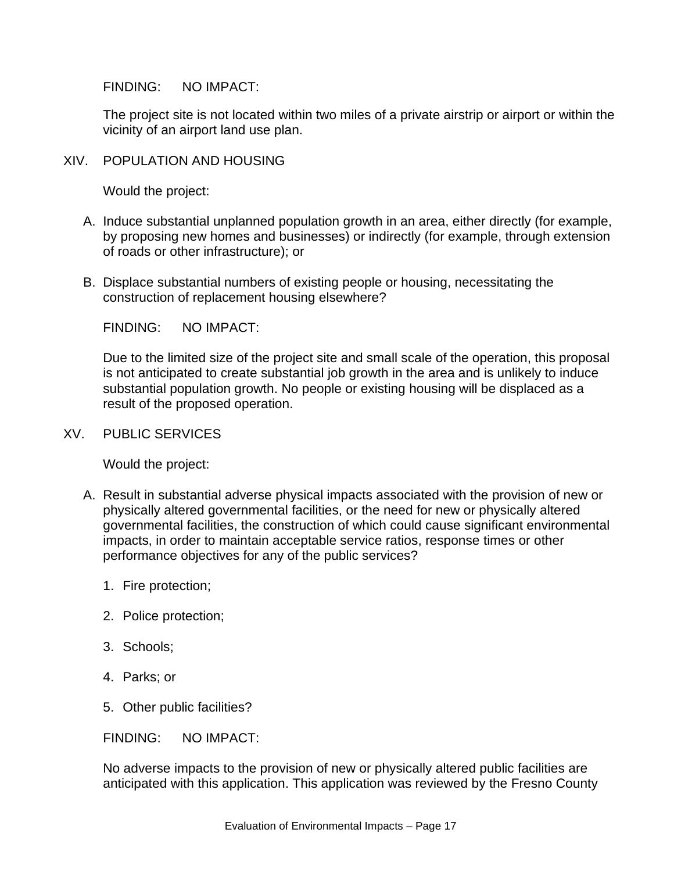The project site is not located within two miles of a private airstrip or airport or within the vicinity of an airport land use plan.

XIV. POPULATION AND HOUSING

Would the project:

- A. Induce substantial unplanned population growth in an area, either directly (for example, by proposing new homes and businesses) or indirectly (for example, through extension of roads or other infrastructure); or
- B. Displace substantial numbers of existing people or housing, necessitating the construction of replacement housing elsewhere?

FINDING: NO IMPACT:

Due to the limited size of the project site and small scale of the operation, this proposal is not anticipated to create substantial job growth in the area and is unlikely to induce substantial population growth. No people or existing housing will be displaced as a result of the proposed operation.

XV. PUBLIC SERVICES

Would the project:

- A. Result in substantial adverse physical impacts associated with the provision of new or physically altered governmental facilities, or the need for new or physically altered governmental facilities, the construction of which could cause significant environmental impacts, in order to maintain acceptable service ratios, response times or other performance objectives for any of the public services?
	- 1. Fire protection;
	- 2. Police protection;
	- 3. Schools;
	- 4. Parks; or
	- 5. Other public facilities?

FINDING: NO IMPACT:

No adverse impacts to the provision of new or physically altered public facilities are anticipated with this application. This application was reviewed by the Fresno County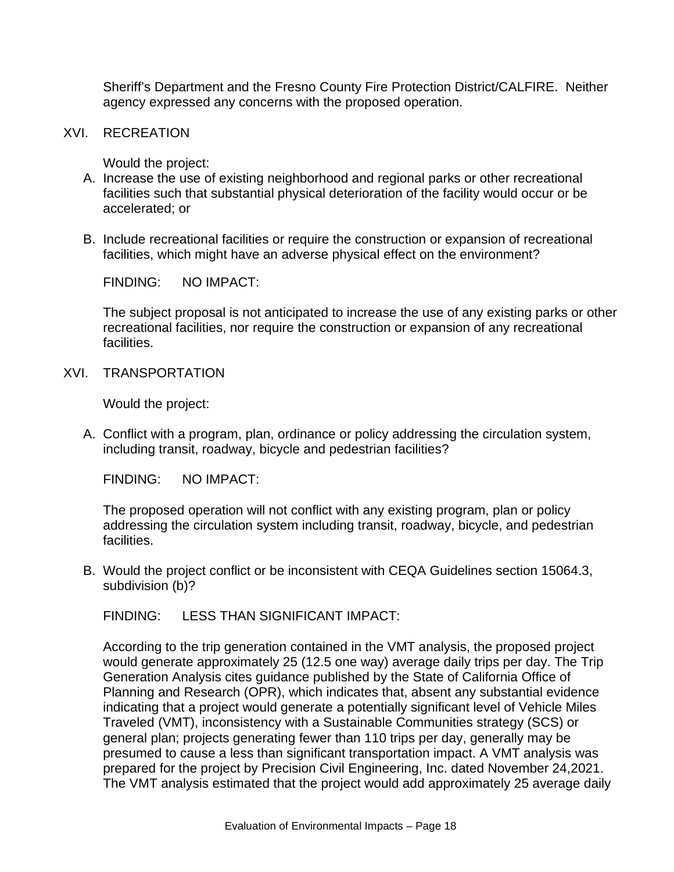Sheriff's Department and the Fresno County Fire Protection District/CALFIRE. Neither agency expressed any concerns with the proposed operation.

XVI. RECREATION

Would the project:

- A. Increase the use of existing neighborhood and regional parks or other recreational facilities such that substantial physical deterioration of the facility would occur or be accelerated; or
- B. Include recreational facilities or require the construction or expansion of recreational facilities, which might have an adverse physical effect on the environment?

FINDING: NO IMPACT:

The subject proposal is not anticipated to increase the use of any existing parks or other recreational facilities, nor require the construction or expansion of any recreational facilities.

XVI. TRANSPORTATION

Would the project:

A. Conflict with a program, plan, ordinance or policy addressing the circulation system, including transit, roadway, bicycle and pedestrian facilities?

FINDING: NO IMPACT:

The proposed operation will not conflict with any existing program, plan or policy addressing the circulation system including transit, roadway, bicycle, and pedestrian facilities.

B. Would the project conflict or be inconsistent with CEQA Guidelines section 15064.3, subdivision (b)?

FINDING: LESS THAN SIGNIFICANT IMPACT:

According to the trip generation contained in the VMT analysis, the proposed project would generate approximately 25 (12.5 one way) average daily trips per day. The Trip Generation Analysis cites guidance published by the State of California Office of Planning and Research (OPR), which indicates that, absent any substantial evidence indicating that a project would generate a potentially significant level of Vehicle Miles Traveled (VMT), inconsistency with a Sustainable Communities strategy (SCS) or general plan; projects generating fewer than 110 trips per day, generally may be presumed to cause a less than significant transportation impact. A VMT analysis was prepared for the project by Precision Civil Engineering, Inc. dated November 24,2021. The VMT analysis estimated that the project would add approximately 25 average daily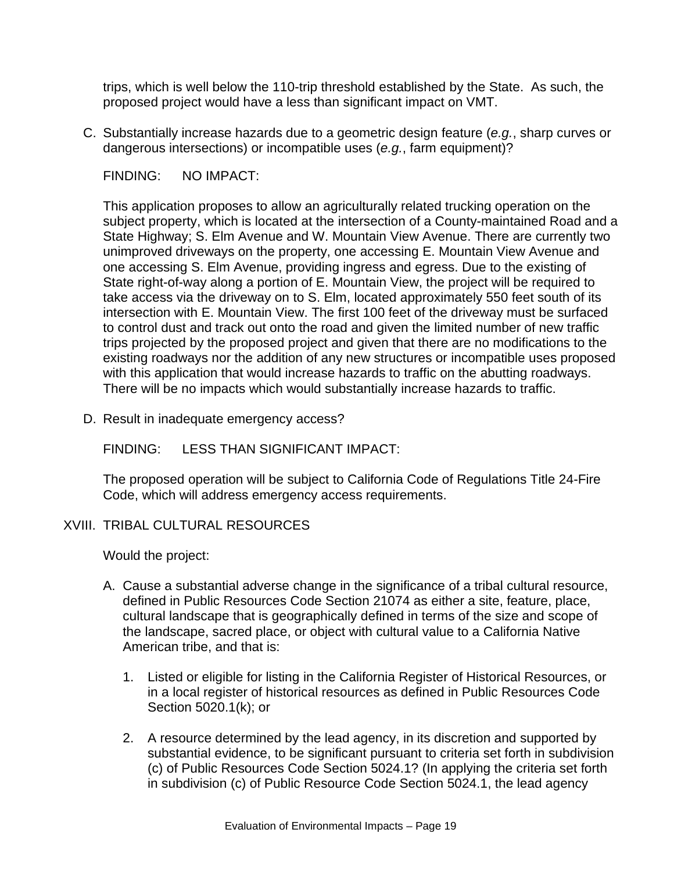trips, which is well below the 110-trip threshold established by the State. As such, the proposed project would have a less than significant impact on VMT.

C. Substantially increase hazards due to a geometric design feature (*e.g.*, sharp curves or dangerous intersections) or incompatible uses (*e.g.*, farm equipment)?

FINDING: NO IMPACT:

This application proposes to allow an agriculturally related trucking operation on the subject property, which is located at the intersection of a County-maintained Road and a State Highway; S. Elm Avenue and W. Mountain View Avenue. There are currently two unimproved driveways on the property, one accessing E. Mountain View Avenue and one accessing S. Elm Avenue, providing ingress and egress. Due to the existing of State right-of-way along a portion of E. Mountain View, the project will be required to take access via the driveway on to S. Elm, located approximately 550 feet south of its intersection with E. Mountain View. The first 100 feet of the driveway must be surfaced to control dust and track out onto the road and given the limited number of new traffic trips projected by the proposed project and given that there are no modifications to the existing roadways nor the addition of any new structures or incompatible uses proposed with this application that would increase hazards to traffic on the abutting roadways. There will be no impacts which would substantially increase hazards to traffic.

D. Result in inadequate emergency access?

FINDING: LESS THAN SIGNIFICANT IMPACT:

The proposed operation will be subject to California Code of Regulations Title 24-Fire Code, which will address emergency access requirements.

#### XVIII. TRIBAL CULTURAL RESOURCES

Would the project:

- A. Cause a substantial adverse change in the significance of a tribal cultural resource, defined in Public Resources Code Section 21074 as either a site, feature, place, cultural landscape that is geographically defined in terms of the size and scope of the landscape, sacred place, or object with cultural value to a California Native American tribe, and that is:
	- 1. Listed or eligible for listing in the California Register of Historical Resources, or in a local register of historical resources as defined in Public Resources Code Section 5020.1(k); or
	- 2. A resource determined by the lead agency, in its discretion and supported by substantial evidence, to be significant pursuant to criteria set forth in subdivision (c) of Public Resources Code Section 5024.1? (In applying the criteria set forth in subdivision (c) of Public Resource Code Section 5024.1, the lead agency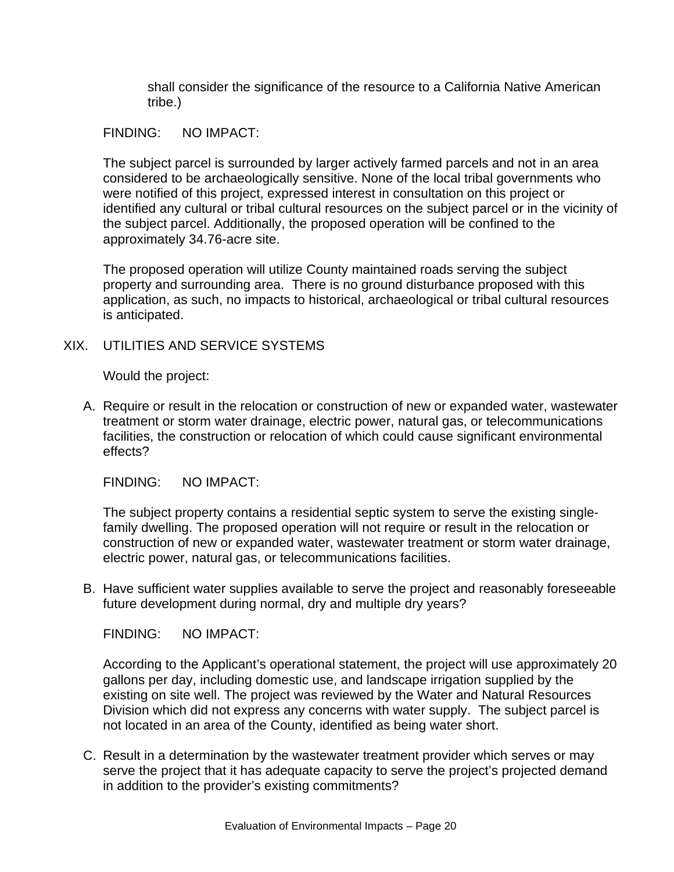shall consider the significance of the resource to a California Native American tribe.)

#### FINDING: NO IMPACT:

The subject parcel is surrounded by larger actively farmed parcels and not in an area considered to be archaeologically sensitive. None of the local tribal governments who were notified of this project, expressed interest in consultation on this project or identified any cultural or tribal cultural resources on the subject parcel or in the vicinity of the subject parcel. Additionally, the proposed operation will be confined to the approximately 34.76-acre site.

The proposed operation will utilize County maintained roads serving the subject property and surrounding area. There is no ground disturbance proposed with this application, as such, no impacts to historical, archaeological or tribal cultural resources is anticipated.

### XIX. UTILITIES AND SERVICE SYSTEMS

Would the project:

A. Require or result in the relocation or construction of new or expanded water, wastewater treatment or storm water drainage, electric power, natural gas, or telecommunications facilities, the construction or relocation of which could cause significant environmental effects?

FINDING: NO IMPACT:

The subject property contains a residential septic system to serve the existing singlefamily dwelling. The proposed operation will not require or result in the relocation or construction of new or expanded water, wastewater treatment or storm water drainage, electric power, natural gas, or telecommunications facilities.

B. Have sufficient water supplies available to serve the project and reasonably foreseeable future development during normal, dry and multiple dry years?

FINDING: NO IMPACT:

According to the Applicant's operational statement, the project will use approximately 20 gallons per day, including domestic use, and landscape irrigation supplied by the existing on site well. The project was reviewed by the Water and Natural Resources Division which did not express any concerns with water supply. The subject parcel is not located in an area of the County, identified as being water short.

C. Result in a determination by the wastewater treatment provider which serves or may serve the project that it has adequate capacity to serve the project's projected demand in addition to the provider's existing commitments?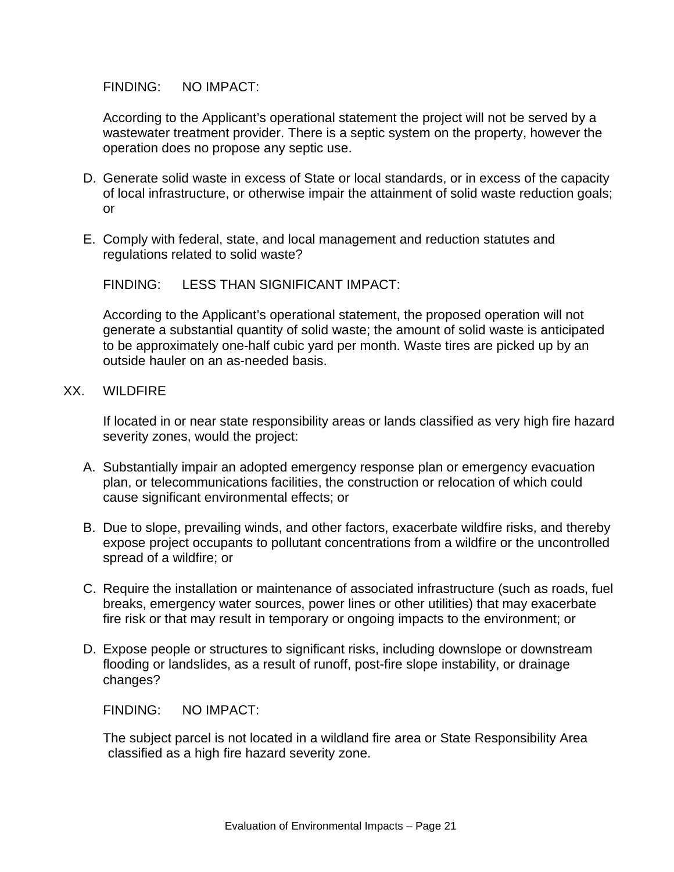According to the Applicant's operational statement the project will not be served by a wastewater treatment provider. There is a septic system on the property, however the operation does no propose any septic use.

- D. Generate solid waste in excess of State or local standards, or in excess of the capacity of local infrastructure, or otherwise impair the attainment of solid waste reduction goals; or
- E. Comply with federal, state, and local management and reduction statutes and regulations related to solid waste?

FINDING: LESS THAN SIGNIFICANT IMPACT:

According to the Applicant's operational statement, the proposed operation will not generate a substantial quantity of solid waste; the amount of solid waste is anticipated to be approximately one-half cubic yard per month. Waste tires are picked up by an outside hauler on an as-needed basis.

XX. WILDFIRE

If located in or near state responsibility areas or lands classified as very high fire hazard severity zones, would the project:

- A. Substantially impair an adopted emergency response plan or emergency evacuation plan, or telecommunications facilities, the construction or relocation of which could cause significant environmental effects; or
- B. Due to slope, prevailing winds, and other factors, exacerbate wildfire risks, and thereby expose project occupants to pollutant concentrations from a wildfire or the uncontrolled spread of a wildfire; or
- C. Require the installation or maintenance of associated infrastructure (such as roads, fuel breaks, emergency water sources, power lines or other utilities) that may exacerbate fire risk or that may result in temporary or ongoing impacts to the environment; or
- D. Expose people or structures to significant risks, including downslope or downstream flooding or landslides, as a result of runoff, post-fire slope instability, or drainage changes?

FINDING: NO IMPACT:

The subject parcel is not located in a wildland fire area or State Responsibility Area classified as a high fire hazard severity zone.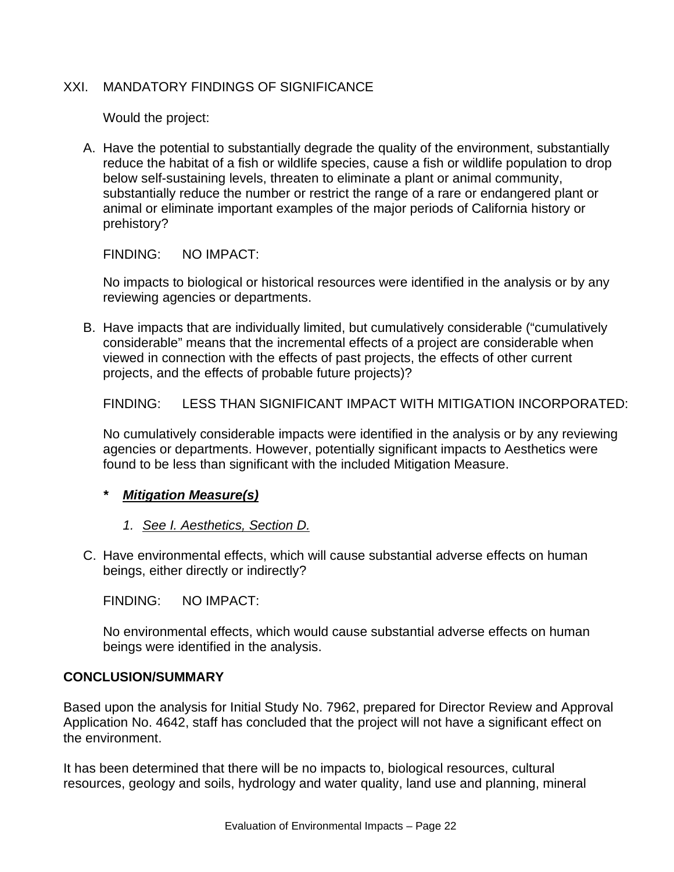#### XXI. MANDATORY FINDINGS OF SIGNIFICANCE

Would the project:

A. Have the potential to substantially degrade the quality of the environment, substantially reduce the habitat of a fish or wildlife species, cause a fish or wildlife population to drop below self-sustaining levels, threaten to eliminate a plant or animal community, substantially reduce the number or restrict the range of a rare or endangered plant or animal or eliminate important examples of the major periods of California history or prehistory?

FINDING: NO IMPACT:

No impacts to biological or historical resources were identified in the analysis or by any reviewing agencies or departments.

B. Have impacts that are individually limited, but cumulatively considerable ("cumulatively considerable" means that the incremental effects of a project are considerable when viewed in connection with the effects of past projects, the effects of other current projects, and the effects of probable future projects)?

FINDING: LESS THAN SIGNIFICANT IMPACT WITH MITIGATION INCORPORATED:

No cumulatively considerable impacts were identified in the analysis or by any reviewing agencies or departments. However, potentially significant impacts to Aesthetics were found to be less than significant with the included Mitigation Measure.

#### *\* Mitigation Measure(s)*

- *1. See I. Aesthetics, Section D.*
- C. Have environmental effects, which will cause substantial adverse effects on human beings, either directly or indirectly?

FINDING: NO IMPACT:

No environmental effects, which would cause substantial adverse effects on human beings were identified in the analysis.

#### **CONCLUSION/SUMMARY**

Based upon the analysis for Initial Study No. 7962, prepared for Director Review and Approval Application No. 4642, staff has concluded that the project will not have a significant effect on the environment.

It has been determined that there will be no impacts to, biological resources, cultural resources, geology and soils, hydrology and water quality, land use and planning, mineral